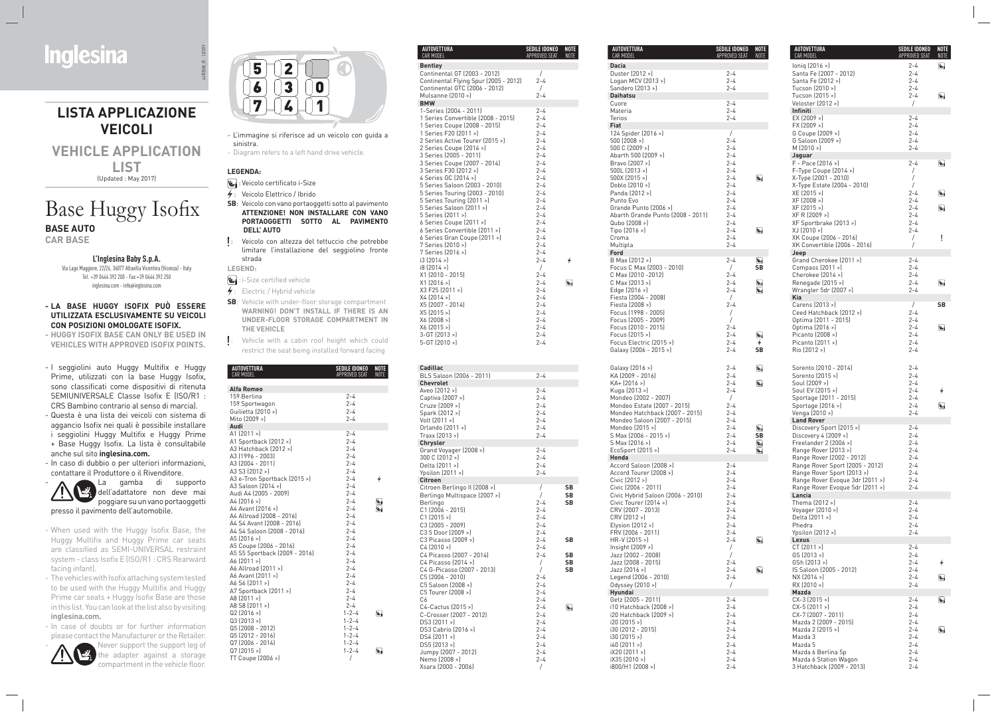- I seggiolini auto Huggy Multifix e Huggy Prime, utilizzati con la base Huggy Isofix, sono classificati come dispositivi di ritenuta SEMIUNIVERSALE Classe Isofix E (ISO/R1 : CRS Bambino contrario al senso di marcia). *-* Questa è una lista dei veicoli con sistema di
- aggancio Isofix nei quali è possibile installare i seggiolini Huggy Multifix e Huggy Prime
- + Base Huggy Isofix. La lista è consultabile anche sul sito **inglesina.com.**
- In caso di dubbio o per ulteriori informazioni, contattare il Produttore o il Rivenditore.



Never support the support leg of the adapter against a storage compartment in the vehicle floor.



- When used with the Huggy Isofix Base, the Huggy Multifix and Huggy Prime car seats are classified as SEMI-UNIVERSAL restraint system - class Isofix E (ISO/R1 : CRS Rearward facing infant).
- The vehicles with Isofix attaching system tested to be used with the Huggy Multifix and Huggy Prime car seats + Huggy Isofix Base are those in this list. You can look at the list also by visiting  **inglesina.com.**
- In case of doubts or for further information please contact the Manufacturer or the Retailer.



- **i**: i-Size certified vehicle
- $\frac{1}{2}$ : Electric / Hybrid vehicle
- **SB**: Vehicle with under-floor storage compartment  **WARNING! DON'T INSTALL IF THERE IS AN UNDER-FLOOR STORAGE COMPARTMENT IN THE VEHICLE**
- : Vehicle with a cabin roof height which could restrict the seat being installed forward facing

CEDULE IDOMED MOTE

#### **- LA BASE HUGGY ISOFIX PUÒ ESSERE UTILIZZATA ESCLUSIVAMENTE SU VEICOLI CON POSIZIONI OMOLOGATE ISOFIX.**

**- HUGGY ISOFIX BASE CAN ONLY BE USED IN VEHICLES WITH APPROVED ISOFIX POINTS.**

- L'immagine si riferisce ad un veicolo con guida a sinistra.
- Diagram refers to a left hand drive vehicle.

### **LEGENDA:**

- : Veicolo certificato i-Size
- $\frac{1}{2}$ : Veicolo Elettrico / Ibrido
- **SB**: Veicolo con vano portaoggetti sotto al pavimento  **ATTENZIONE! NON INSTALLARE CON VANO PORTAOGGETTI SOTTO AL PAVIMENTO DELL' AUTO**
- : Veicolo con altezza del tettuccio che potrebbe limitare l'installazione del seggiolino fronte strada

#### **LEGEND:**

**AUTOVETTURA** 

|                                                                                                                                                                                                                                                                                                                                                                                                                                                                                                                                  |                                                                                                                                                                                                                                                           | NOTE<br>APPROVED SEAT |
|----------------------------------------------------------------------------------------------------------------------------------------------------------------------------------------------------------------------------------------------------------------------------------------------------------------------------------------------------------------------------------------------------------------------------------------------------------------------------------------------------------------------------------|-----------------------------------------------------------------------------------------------------------------------------------------------------------------------------------------------------------------------------------------------------------|-----------------------|
| <b>Alfa Romeo</b>                                                                                                                                                                                                                                                                                                                                                                                                                                                                                                                |                                                                                                                                                                                                                                                           |                       |
| 159 Berlina<br>159 Sportwagon<br>Guilietta (2010 >)<br>Mito (2009 >)                                                                                                                                                                                                                                                                                                                                                                                                                                                             | $2 - 4$<br>$2 - 4$<br>$2 - 4$<br>$2 - 4$                                                                                                                                                                                                                  |                       |
| Audi                                                                                                                                                                                                                                                                                                                                                                                                                                                                                                                             |                                                                                                                                                                                                                                                           |                       |
| A1 (2011 >)<br>A1 Sportback (2012 >)<br>A3 Hatchback (2012 >)<br>A3 (1996 - 2003)<br>A3 (2004 - 2011)<br>A3 S3 (2012 >)<br>A3 e-Tron Sportback (2015 >)<br>A3 Saloon (2014 >)<br>Audi A4 (2005 - 2009)<br>A4 (2016 >)<br>A4 Avant (2016 >)<br>A4 Allroad (2008 - 2016)<br>A4 S4 Avant (2008 - 2016)<br>A4 S4 Saloon (2008 - 2016)<br>A5 (2016 >)<br>A5 Coupe (2006 - 2016)<br>A5 S5 Sportback (2009 - 2016)<br>A6 (2011 >)<br>A6 Allroad (2011 >)<br>A6 Avant (2011 >)<br>A6 S6 (2011 >)<br>A7 Sportback (2011 >)<br>A8 (2011 >) | $2 - 4$<br>$2 - 4$<br>$2 - 4$<br>$2 - 4$<br>$2 - 4$<br>$2 - 4$<br>$2 - 4$<br>$2 - 4$<br>$2 - 4$<br>$2 - 4$<br>$2 - 4$<br>$2 - 4$<br>$2 - 4$<br>$2 - 4$<br>$2 - 4$<br>$2 - 4$<br>$2 - 4$<br>$2 - 4$<br>$2 - 4$<br>$2 - 4$<br>$2 - 4$<br>$2 - 4$<br>$2 - 4$ | 4<br>أحكأ<br>۱Ś       |
| A8 S8 (2011 >)<br>Q2(2016)<br>$Q3$ (2013 >)                                                                                                                                                                                                                                                                                                                                                                                                                                                                                      | $2 - 4$<br>$1 - 2 - 4$<br>$1 - 2 - 4$                                                                                                                                                                                                                     | أيتا                  |
| Q5 (2008 - 2012)<br>Q5 (2012 - 2016)<br>Q7 (2006 - 2014)<br>Q7 (2015 >)<br>TT Coupe (2006 >)                                                                                                                                                                                                                                                                                                                                                                                                                                     | $1 - 2 - 4$<br>$1 - 2 - 4$<br>$1 - 2 - 4$<br>$1 - 2 - 4$<br>1                                                                                                                                                                                             | أيتا                  |

# Base Huggy Isofix **BASE AUTO**

| AUTOVETTURA<br><b>CAR MODEL</b>                                                                                              | SEDILE IDONEO<br>APPROVED SEAT                            | <b>NOTE</b><br>NOTE |
|------------------------------------------------------------------------------------------------------------------------------|-----------------------------------------------------------|---------------------|
| <b>Bentley</b>                                                                                                               |                                                           |                     |
| Continental GT (2003 - 2012)<br>Continental Flying Spur (2005 - 2012)                                                        | $\sqrt{2}$<br>$2 - 4$                                     |                     |
| Continental GTC (2006 - 2012)                                                                                                | $\prime$                                                  |                     |
| Mulsanne (2010 >)                                                                                                            | $2 - 4$                                                   |                     |
| <b>BMW</b><br>1-Series (2004 - 2011)                                                                                         | $2 - 4$                                                   |                     |
| 1 Series Convertible (2008 - 2015)                                                                                           | $2 - 4$                                                   |                     |
| 1 Series Coupe (2008 - 2015)                                                                                                 | $2 - 4$                                                   |                     |
| 1 Series F20 (2011 >)<br>2 Series Active Tourer (2015 >)                                                                     | $2 - 4$<br>$2 - 4$                                        |                     |
| 2 Series Coupe (2014 >)                                                                                                      | $2 - 4$                                                   |                     |
| 3 Series (2005 - 2011)                                                                                                       | $2 - 4$                                                   |                     |
| 3 Series Coupe (2007 - 2014)                                                                                                 | $2 - 4$                                                   |                     |
| 3 Series F30 (2012 >)<br>4 Series GC (2014 >)                                                                                | $2 - 4$<br>$2 - 4$                                        |                     |
| 5 Series Saloon (2003 - 2010)                                                                                                | $2 - 4$                                                   |                     |
| 5 Series Touring (2003 - 2010)                                                                                               | $2 - 4$                                                   |                     |
| 5 Series Touring (2011 >)<br>5 Series Saloon (2011 >)                                                                        | $2 - 4$<br>2-4                                            |                     |
| 5 Series (2011 >)                                                                                                            | $2 - 4$                                                   |                     |
| 6 Series Coupe (2011 >)                                                                                                      | $2 - 4$                                                   |                     |
| 6 Series Convertible (2011 >)<br>6 Series Gran Coupe (2011 >)                                                                | $2 - 4$<br>$2 - 4$                                        |                     |
| 7 Series (2010 >)                                                                                                            | $2 - 4$                                                   |                     |
| 7 Series (2016 >)                                                                                                            | $2 - 4$                                                   |                     |
| i3 [2014]<br>$i8$ (2014 >)                                                                                                   | 2-4<br>$\sqrt{2}$                                         |                     |
| X1 (2010 - 2015)                                                                                                             | $2 - 4$                                                   |                     |
| $X1$ (2016 >)                                                                                                                | $2 - 4$                                                   | ۱J                  |
| X3 F25 (2011 >)                                                                                                              | $2 - 4$<br>$2 - 4$                                        |                     |
| X4 (2014 >)<br>X5 (2007 - 2014)                                                                                              | $2 - 4$                                                   |                     |
| X5 (2015 >)                                                                                                                  | $2 - 4$                                                   |                     |
| X6 (2008 >)                                                                                                                  | $2 - 4$                                                   |                     |
| $X6$ (2015 >)<br>3-GT (2013 >)                                                                                               | 2-4<br>$2 - 4$                                            |                     |
| 5-GT (2010 >)                                                                                                                | $2 - 4$                                                   |                     |
| Aveo (2012 >)<br>Captiva (2007 >)<br>Cruze (2009 >)<br>Spark (2012 >)<br>Volt (2011 >)<br>Orlando (2011 >)<br>Traxx (2013 >) | $2 - 4$<br>2-4<br>2-4<br>$2 - 4$<br>2-4<br>$2 - 4$<br>2-4 |                     |
| Chrysler                                                                                                                     |                                                           |                     |
| Grand Voyager (2008 >)                                                                                                       | $2 - 4$                                                   |                     |
| 300 C (2012 >)<br>Delta (2011 >)                                                                                             | $2 - 4$<br>$2 - 4$                                        |                     |
| Ypsilon (2011 >)                                                                                                             | 2-4                                                       |                     |
| <b>Citroen</b>                                                                                                               |                                                           |                     |
| Citroen Berlingo II (2008 >)<br>Berlingo Multispace (2007 >)                                                                 | $\sqrt{2}$<br>$\prime$                                    | SB<br>SB            |
| Berlingo                                                                                                                     | $2 - 4$                                                   | SB                  |
| C1 (2006 - 2015)                                                                                                             | $2 - 4$                                                   |                     |
| $C1$ (2015 >)<br>C3 (2005 - 2009)                                                                                            | $2 - 4$<br>$2 - 4$                                        |                     |
| C3 5 Door (2009 >)                                                                                                           | $2 - 4$                                                   |                     |
| C3 Picasso (2009 >)                                                                                                          | 2-4                                                       | SB                  |
| $C4$ (2010 >)<br>C4 Picasso (2007 - 2014)                                                                                    | $2 - 4$<br>$2 - 4$                                        | SB                  |
| C4 Picasso (2014 >)                                                                                                          | $\sqrt{2}$                                                | SB                  |
| C4 G-Picasso (2007 - 2013)                                                                                                   | $\overline{1}$                                            | SB                  |
| C5 (2006 - 2010)<br>C5 Saloon (2008 >)                                                                                       | $2 - 4$<br>$2 - 4$                                        |                     |
| C5 Tourer (2008 >)                                                                                                           | 2-4                                                       |                     |
| C6                                                                                                                           | $2 - 4$                                                   |                     |
| C4-Cactus (2015 >)                                                                                                           | $2 - 4$                                                   | أحثأ                |
| C-Crosser (2007 - 2012)<br>DS3 (2011 >)                                                                                      | $2 - 4$<br>2-4                                            |                     |
| DS3 Cabrio (2016 >)                                                                                                          | $2 - 4$                                                   |                     |
| $DS4$ (2011 >)                                                                                                               | $2 - 4$                                                   |                     |
| DS5 (2013 >)<br>Jumpy (2007 - 2012)                                                                                          | $2 - 4$<br>$2 - 4$                                        |                     |
| Nemo (2008 >)                                                                                                                | $2 - 4$                                                   |                     |
| $Xeara$ (2000 - 2006)                                                                                                        | T                                                         |                     |

| <b>AUTOVETTURA</b><br>CAR MODEL                               | <b>SEDILE IDONEO</b><br>APPROVED SEAT | NOT<br>NOT   |
|---------------------------------------------------------------|---------------------------------------|--------------|
| <b>Dacia</b>                                                  |                                       |              |
| Duster (2012 >)                                               | 2-4                                   |              |
| Logan MCV (2013 >)<br>Sandero (2013 >)                        | $2 - 4$<br>$2 - 4$                    |              |
| <b>Daihatsu</b>                                               |                                       |              |
| Cuore                                                         | $2 - 4$                               |              |
| Materia<br>Terios                                             | $2 - 4$<br>2-4                        |              |
| Fiat                                                          |                                       |              |
| 124 Spider (2016 >)                                           | /                                     |              |
| $500$ (2008 >)<br>500 C $(2009 >)$                            | 2-4<br>$2 - 4$                        |              |
| Abarth 500 (2009 >)                                           | $2 - 4$                               |              |
| Bravo (2007 >)<br>$500L$ (2013 >)                             | $2 - 4$<br>$2 - 4$                    |              |
| 500X(2015)                                                    | $2 - 4$                               | ۱Ÿ           |
| Doblo (2010 >)                                                | $2 - 4$                               |              |
| Panda (2012 >)<br>Punto Evo                                   | 2-4<br>$2 - 4$                        |              |
| Grande Punto (2006 >)                                         | $2 - 4$                               |              |
| Abarth Grande Punto (2008 - 2011)                             | $2 - 4$                               |              |
| Qubo (2008 >)<br>Tipo (2016 >)                                | 2-4<br>2-4                            | ۱Ë           |
| Croma                                                         | $2 - 4$                               |              |
| Multipla                                                      | 2-4                                   |              |
| Ford<br>B Max (2012 >)                                        | 2-4                                   | أحكأ         |
| Focus C Max (2003 - 2010)                                     | $\sqrt{2}$                            | SΒ           |
| C Max (2010 - 2012)                                           | 2-4                                   |              |
| C Max (2013 >)<br>Edge $[2016 >]$                             | 2-4<br>2-4                            | أحكأ         |
| Fiesta (2004 - 2008)                                          | $\sqrt{2}$                            | زی           |
| Fiesta (2008 >)                                               | 2-4                                   |              |
| Focus (1998 - 2005)<br>Focus (2005 - 2009)                    | $\sqrt{2}$<br>$\prime$                |              |
| Focus (2010 - 2015)                                           | 2-4                                   |              |
| Focus (2015 >)                                                | $2 - 4$                               | أڭا          |
| Focus Electric (2015 >)<br>Galaxy (2006 - 2015 >)             | 2-4<br>2-4                            | 4<br>SΒ      |
|                                                               |                                       |              |
| Galaxy (2016 >)                                               | 2-4                                   | أگا          |
| KA (2009 - 2016)                                              | $2 - 4$                               |              |
| $KA + [2016 >]$<br>Kuga (2013 >)                              | $2 - 4$<br>$2 - 4$                    | ۱Ë           |
| Mondeo (2002 - 2007)                                          | /                                     |              |
| Mondeo Estate (2007 - 2015)                                   | $2 - 4$                               |              |
| Mondeo Hatchback (2007 - 2015)<br>Mondeo Saloon (2007 - 2015) | 2-4<br>2-4                            |              |
| Mondeo (2015 >)                                               | 2-4                                   | أحكأ         |
| S Max (2006 - 2015 >)                                         | $2 - 4$                               | SΒ           |
| S Max (2016 >)<br>Ecosport (2015)                             | 2-4<br>$2 - 4$                        | أيتا<br>أيخا |
| Honda                                                         |                                       |              |
| Accord Saloon (2008 >)                                        | 2-4                                   |              |
| Accord Tourer (2008 >)<br>Civic (2012 >)                      | $2 - 4$<br>$2 - 4$                    |              |
| Civic (2006 - 2011)                                           | 2-4                                   |              |
| Civic Hybrid Saloon (2006 - 2010)<br>Civic Tourer (2014 >)    | 2-4<br>$2 - 4$                        |              |
| CRV (2007 - 2013)                                             | $2 - 4$                               |              |
| CRV (2012 >)                                                  | 2-4                                   |              |
| Elysion (2012 >)<br>FRV (2006 - 2011)                         | $2 - 4$<br>$2 - 4$                    |              |
| $HR-V$ (2015 >)                                               | $2 - 4$                               | ۱Ÿ           |
| Insight (2009 >)                                              | $\sqrt{2}$                            |              |
| Jazz (2002 - 2008)<br>Jazz (2008 - 2015)                      | $\prime$<br>2-4                       |              |
| Jazz (2016 >)                                                 | 2-4                                   | أحكأ         |
| Legend (2006 - 2010)                                          | $2 - 4$                               |              |
| Odyssey (2010 >)<br><b>Hyundai</b>                            | $\prime$                              |              |
| Getz (2005 - 2011)                                            | 2-4                                   |              |
| i10 Hatchback (2008 >)                                        | 2-4                                   |              |
| i20 Hatchback (2009 >)<br>i20 (2015 >)                        | 2-4<br>2-4                            |              |
| i30 (2012 - 2015)                                             | $2 - 4$                               |              |
| $i30$ (2015 >)                                                | $2 - 4$                               |              |
| i40 (2011 >)<br>iX20 (2011 >)                                 | $2 - 4$<br>2-4                        |              |
| iX35 (2010 >)                                                 | $2 - 4$                               |              |
| i800/H1 (2008 >)                                              | 2-4                                   |              |

| NOTE<br><b>NOTE</b> | <b>AUTOVETTURA</b><br>CAR MODEL                               | <b>SEDILE IDONEO</b><br>APPROVED SEAT | NOTE<br>NOTE |
|---------------------|---------------------------------------------------------------|---------------------------------------|--------------|
|                     | lonig $(2016)$                                                | $2 - 4$                               | أڪأ          |
|                     | Santa Fe (2007 - 2012)                                        | $2 - 4$                               |              |
|                     | Santa Fe (2012 >)                                             | $2 - 4$                               |              |
|                     | Tucson (2010 >)                                               | $2 - 4$                               |              |
|                     | Tucson (2015 >)                                               | $2 - 4$                               | أڪا          |
|                     | Veloster (2012 >)<br>Infiniti                                 | $\sqrt{2}$                            |              |
|                     | EX [2009 >]                                                   | $2 - 4$                               |              |
|                     | FX (2009 >)                                                   | $2 - 4$                               |              |
|                     | G Coupe (2009 >)                                              | $2 - 4$                               |              |
|                     | G Saloon (2009 >)                                             | $2 - 4$                               |              |
|                     | $M$ (2010 >)                                                  | $2 - 4$                               |              |
|                     | Jaguar<br>F - Pace (2016 >)                                   | 2-4                                   | أحتا         |
|                     | F-Type Coupe (2014 >)                                         | $\sqrt{2}$                            |              |
| $\mathbf{z}$        | X-Type (2001 - 2010)                                          | $\sqrt{2}$                            |              |
|                     | X-Type Estate (2004 - 2010)                                   | $\sqrt{2}$                            |              |
|                     | XE (2015 >)                                                   | $2 - 4$                               | أحتا         |
|                     | XF (2008 >)                                                   | $2 - 4$                               |              |
|                     | XF [2015 >]<br>XF R (2009 >)                                  | $2 - 4$<br>$2 - 4$                    | أتحا         |
|                     | XF Sportbrake (2013 >)                                        | $2 - 4$                               |              |
| أكتأ                | XJ (2010 >)                                                   | $2 - 4$                               |              |
|                     | XK Coupe (2006 - 2016)                                        | $\sqrt{2}$                            | Î            |
|                     | XK Convertible (2006 - 2016)                                  | 7                                     |              |
|                     | Jeep                                                          |                                       |              |
| أڪا                 | Grand Cherokee (2011 >)                                       | $2 - 4$<br>$2 - 4$                    |              |
| SΒ                  | Compass $[2011 >]$<br>Cherokee (2014 >)                       | $2 - 4$                               |              |
| أڪا                 | Renegade (2015 >)                                             | $2 - 4$                               | آتا          |
| أڪا                 | Wrangler 5dr (2007 >)                                         | $2 - 4$                               |              |
|                     | <b>Kia</b>                                                    |                                       |              |
|                     | Carens (2013 >)                                               | $\sqrt{2}$                            | <b>SB</b>    |
|                     | Ceed Hatchback (2012 >)                                       | $2 - 4$                               |              |
|                     | Optima (2011 - 2015)                                          | $2 - 4$                               |              |
| $\mathbf{z}_1$      | Optima (2016 >)<br>Picanto (2008 >)                           | $2 - 4$<br>$2 - 4$                    | أمكا         |
| 4                   | Picanto (2011 >)                                              | $2 - 4$                               |              |
| SB                  | Rio (2012 >)                                                  | $2 - 4$                               |              |
|                     |                                                               |                                       |              |
| أتحا                | Sorento (2010 - 2014)                                         | $2 - 4$                               |              |
|                     | Sorento (2015 >)                                              | $2 - 4$                               |              |
| $\mathbf{z}$        | Soul (2009 >)                                                 | $2 - 4$                               |              |
|                     | Soul EV (2015 >)                                              | $2 - 4$                               | 4            |
|                     | Sportage (2011 - 2015)                                        | $2 - 4$                               |              |
|                     | Sportage (2016 >)                                             | $2 - 4$                               | أكأ          |
|                     | Venga (2010 >)<br><b>Land Rover</b>                           | $2 - 4$                               |              |
| أظا                 | Discovery Sport (2015 >)                                      | 2-4                                   |              |
| <b>SB</b>           | Discovery 4 (2009 >)                                          | $2 - 4$                               |              |
| أتكأ                | Freelander 2 (2006 >)                                         | $2 - 4$                               |              |
| أمكأ                | Range Rover (2013 >)                                          | $2 - 4$                               |              |
|                     | Range Rover (2002 - 2012)                                     | $2 - 4$                               |              |
|                     | Range Rover Sport (2005 - 2012)                               | $2 - 4$<br>$2 - 4$                    |              |
|                     | Range Rover Sport (2013 >)<br>Range Rover Evoque 3dr (2011 >) | 2-4                                   |              |
|                     | Range Rover Evoque 5dr (2011 >)                               | $2 - 4$                               |              |
|                     | Lancia                                                        |                                       |              |
|                     | Thema (2012 >)                                                | 2-4                                   |              |
|                     | Voyager (2010 >)                                              | $2 - 4$                               |              |
|                     | Delta (2011 >)                                                | $2 - 4$                               |              |
|                     | Phedra<br>Ypsilon (2012 >)                                    | $2 - 4$<br>$2 - 4$                    |              |
| أڪا                 | Lexus                                                         |                                       |              |
|                     | CT [2011 >]                                                   | 2-4                                   |              |
|                     | GS (2013 >)                                                   | $2 - 4$                               |              |
|                     | GSh (2013 >)                                                  | $2 - 4$                               |              |
| $\mathbf{z}$        | IS Saloon (2005 - 2012)                                       | $2 - 4$                               |              |
|                     | $NX$ (2014 >)                                                 | 2-4<br>$2 - 4$                        | أڪا          |
|                     | RX (2010 >)<br>Mazda                                          |                                       |              |
|                     | $CX-3$ (2015 >)                                               | 2-4                                   | أحتا         |
|                     | $CX-5 [2011 >]$                                               | 2-4                                   |              |
|                     | CX-7 (2007 - 2011)                                            | $2 - 4$                               |              |
|                     | Mazda 2 (2009 - 2015)                                         | 2-4                                   |              |
|                     | Mazda 2 (2015 >)                                              | $2 - 4$                               | أڪأ          |
|                     | Mazda 3<br>Mazda 5                                            | $2 - 4$<br>2-4                        |              |
|                     | Mazda 6 Berlina 5p                                            | $2 - 4$                               |              |
|                     | Mazda 6 Station Wagon                                         | 2-4                                   |              |
|                     | 3 Hatchback (2009 - 2013)                                     | 2-4                                   |              |

**CAR BASE**

**L'Inglesina Baby S.p.A.**<br>Via Lago Maggiore, 22/26, 36077 Altavilla Vicentina (Vicenza) - Italy Tel. +39 0444 392 200 - Fax +39 0444 392 250  $\log\frac{1}{2}$  inglesina.com -  $\log\frac{1}{2}$  info@inglesina.com

# **LISTA APPLICAZIONE VEICOLI**

## **VEHICLE APPLICATION LIST** (Updated : May 2017)

447025AK\_01 - 12/2019